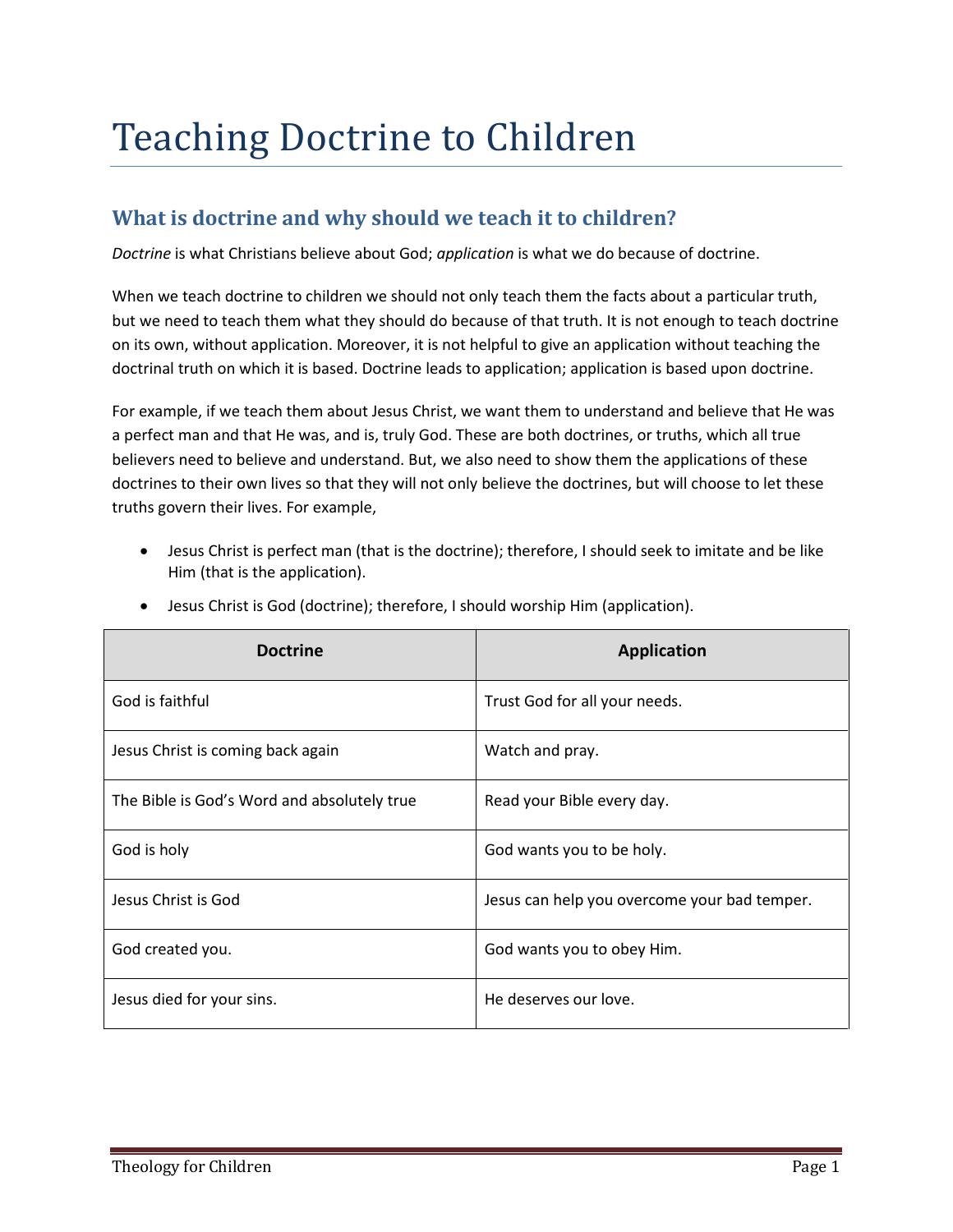# Teaching Doctrine to Children

# **What is doctrine and why should we teach it to children?**

*Doctrine* is what Christians believe about God; *application* is what we do because of doctrine.

When we teach doctrine to children we should not only teach them the facts about a particular truth, but we need to teach them what they should do because of that truth. It is not enough to teach doctrine on its own, without application. Moreover, it is not helpful to give an application without teaching the doctrinal truth on which it is based. Doctrine leads to application; application is based upon doctrine.

For example, if we teach them about Jesus Christ, we want them to understand and believe that He was a perfect man and that He was, and is, truly God. These are both doctrines, or truths, which all true believers need to believe and understand. But, we also need to show them the applications of these doctrines to their own lives so that they will not only believe the doctrines, but will choose to let these truths govern their lives. For example,

• Jesus Christ is perfect man (that is the doctrine); therefore, I should seek to imitate and be like Him (that is the application).

| <b>Doctrine</b>                             | <b>Application</b>                           |
|---------------------------------------------|----------------------------------------------|
| God is faithful                             | Trust God for all your needs.                |
| Jesus Christ is coming back again           | Watch and pray.                              |
| The Bible is God's Word and absolutely true | Read your Bible every day.                   |
| God is holy                                 | God wants you to be holy.                    |
| Jesus Christ is God                         | Jesus can help you overcome your bad temper. |
| God created you.                            | God wants you to obey Him.                   |
| Jesus died for your sins.                   | He deserves our love.                        |

• Jesus Christ is God (doctrine); therefore, I should worship Him (application).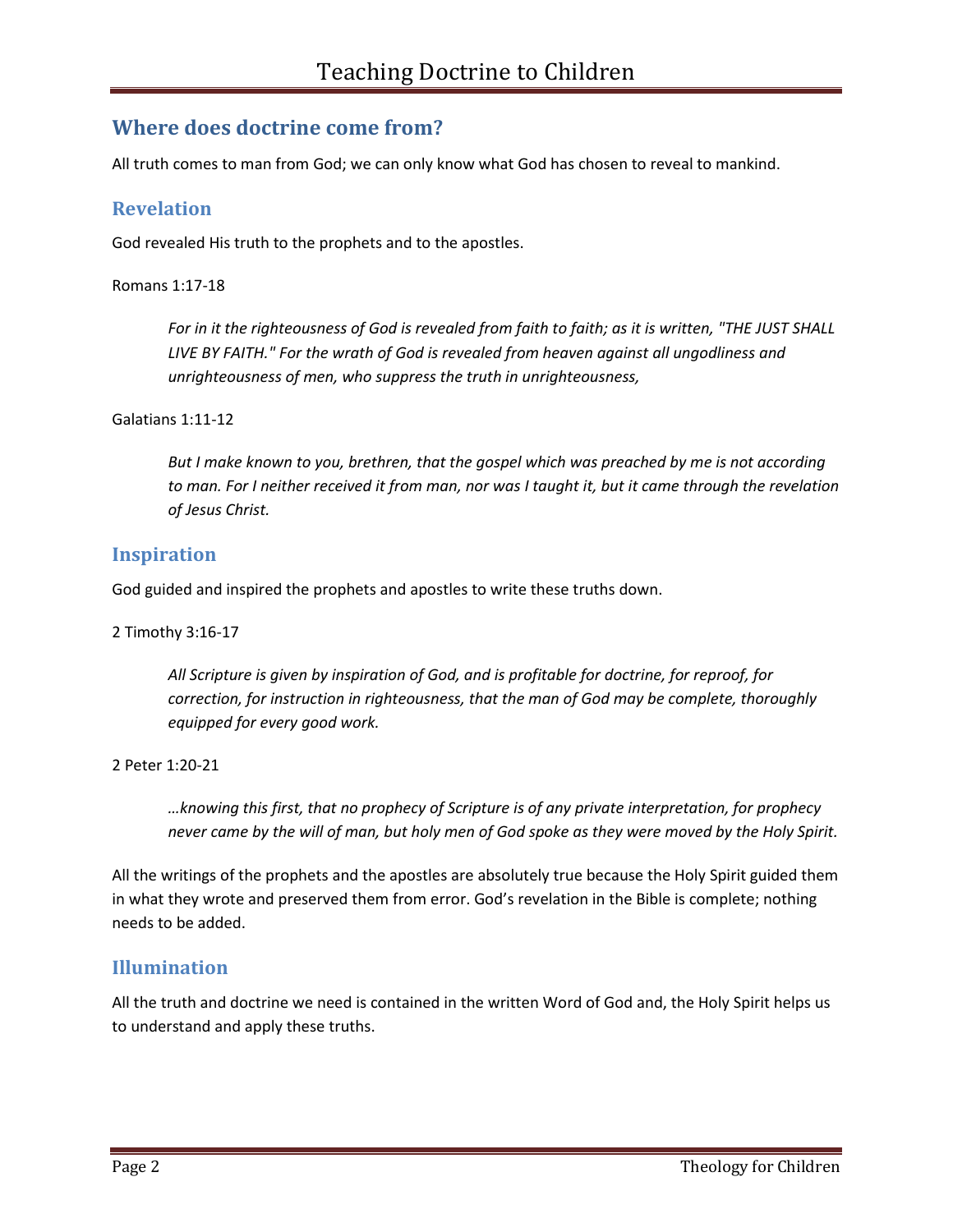# **Where does doctrine come from?**

All truth comes to man from God; we can only know what God has chosen to reveal to mankind.

### **Revelation**

God revealed His truth to the prophets and to the apostles.

#### Romans 1:17-18

*For in it the righteousness of God is revealed from faith to faith; as it is written, "THE JUST SHALL LIVE BY FAITH." For the wrath of God is revealed from heaven against all ungodliness and unrighteousness of men, who suppress the truth in unrighteousness,* 

#### Galatians 1:11-12

*But I make known to you, brethren, that the gospel which was preached by me is not according to man. For I neither received it from man, nor was I taught it, but it came through the revelation of Jesus Christ.* 

# **Inspiration**

God guided and inspired the prophets and apostles to write these truths down.

#### 2 Timothy 3:16-17

*All Scripture is given by inspiration of God, and is profitable for doctrine, for reproof, for correction, for instruction in righteousness, that the man of God may be complete, thoroughly equipped for every good work.*

2 Peter 1:20-21

*…knowing this first, that no prophecy of Scripture is of any private interpretation, for prophecy never came by the will of man, but holy men of God spoke as they were moved by the Holy Spirit.* 

All the writings of the prophets and the apostles are absolutely true because the Holy Spirit guided them in what they wrote and preserved them from error. God's revelation in the Bible is complete; nothing needs to be added.

# **Illumination**

All the truth and doctrine we need is contained in the written Word of God and, the Holy Spirit helps us to understand and apply these truths.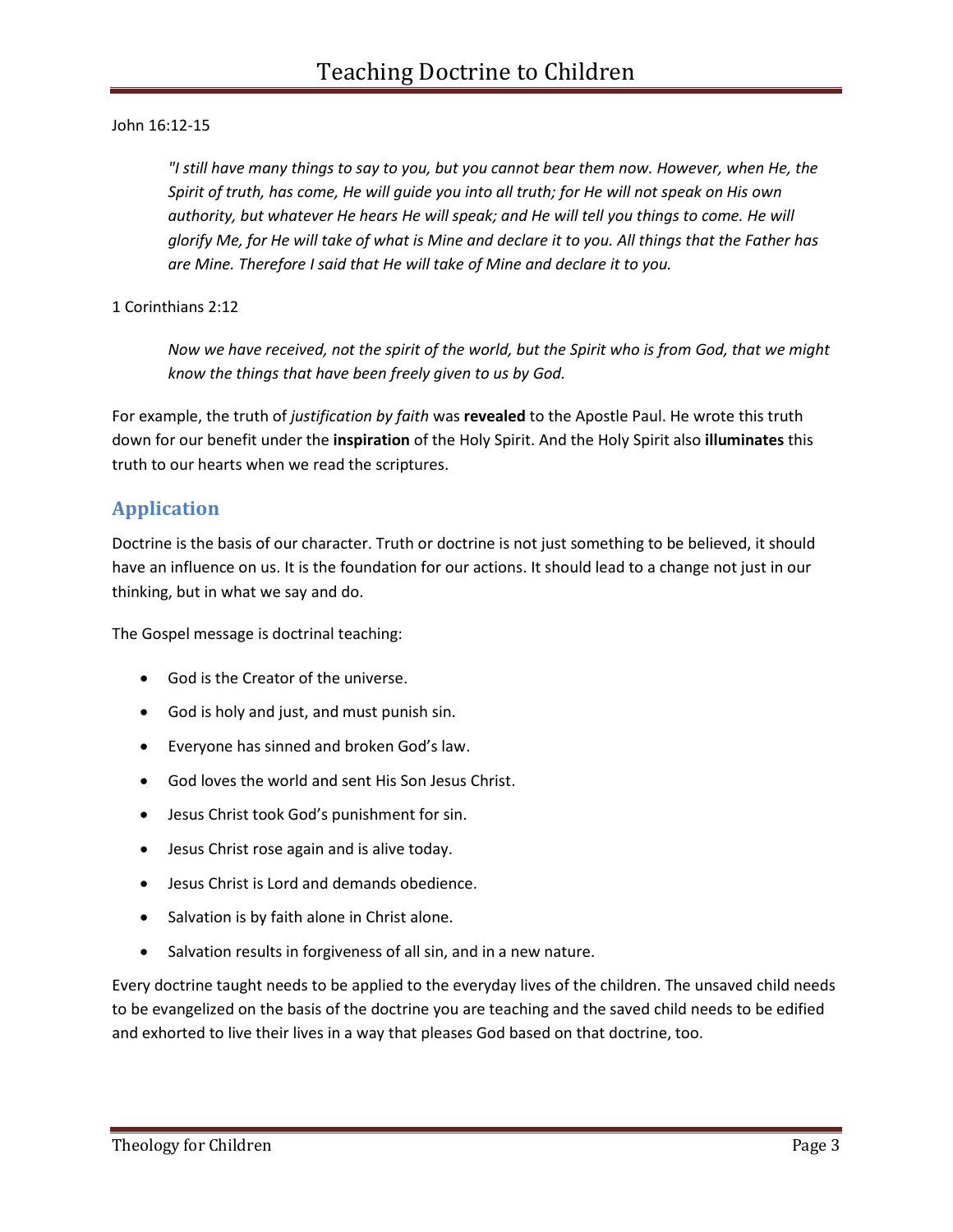#### John 16:12-15

*"I still have many things to say to you, but you cannot bear them now. However, when He, the Spirit of truth, has come, He will guide you into all truth; for He will not speak on His own*  authority, but whatever He hears He will speak; and He will tell you things to come. He will *glorify Me, for He will take of what is Mine and declare it to you. All things that the Father has are Mine. Therefore I said that He will take of Mine and declare it to you.* 

#### 1 Corinthians 2:12

*Now we have received, not the spirit of the world, but the Spirit who is from God, that we might know the things that have been freely given to us by God.* 

For example, the truth of *justification by faith* was **revealed** to the Apostle Paul. He wrote this truth down for our benefit under the **inspiration** of the Holy Spirit. And the Holy Spirit also **illuminates** this truth to our hearts when we read the scriptures.

# **Application**

Doctrine is the basis of our character. Truth or doctrine is not just something to be believed, it should have an influence on us. It is the foundation for our actions. It should lead to a change not just in our thinking, but in what we say and do.

The Gospel message is doctrinal teaching:

- God is the Creator of the universe.
- God is holy and just, and must punish sin.
- Everyone has sinned and broken God's law.
- God loves the world and sent His Son Jesus Christ.
- Jesus Christ took God's punishment for sin.
- Jesus Christ rose again and is alive today.
- Jesus Christ is Lord and demands obedience.
- Salvation is by faith alone in Christ alone.
- Salvation results in forgiveness of all sin, and in a new nature.

Every doctrine taught needs to be applied to the everyday lives of the children. The unsaved child needs to be evangelized on the basis of the doctrine you are teaching and the saved child needs to be edified and exhorted to live their lives in a way that pleases God based on that doctrine, too.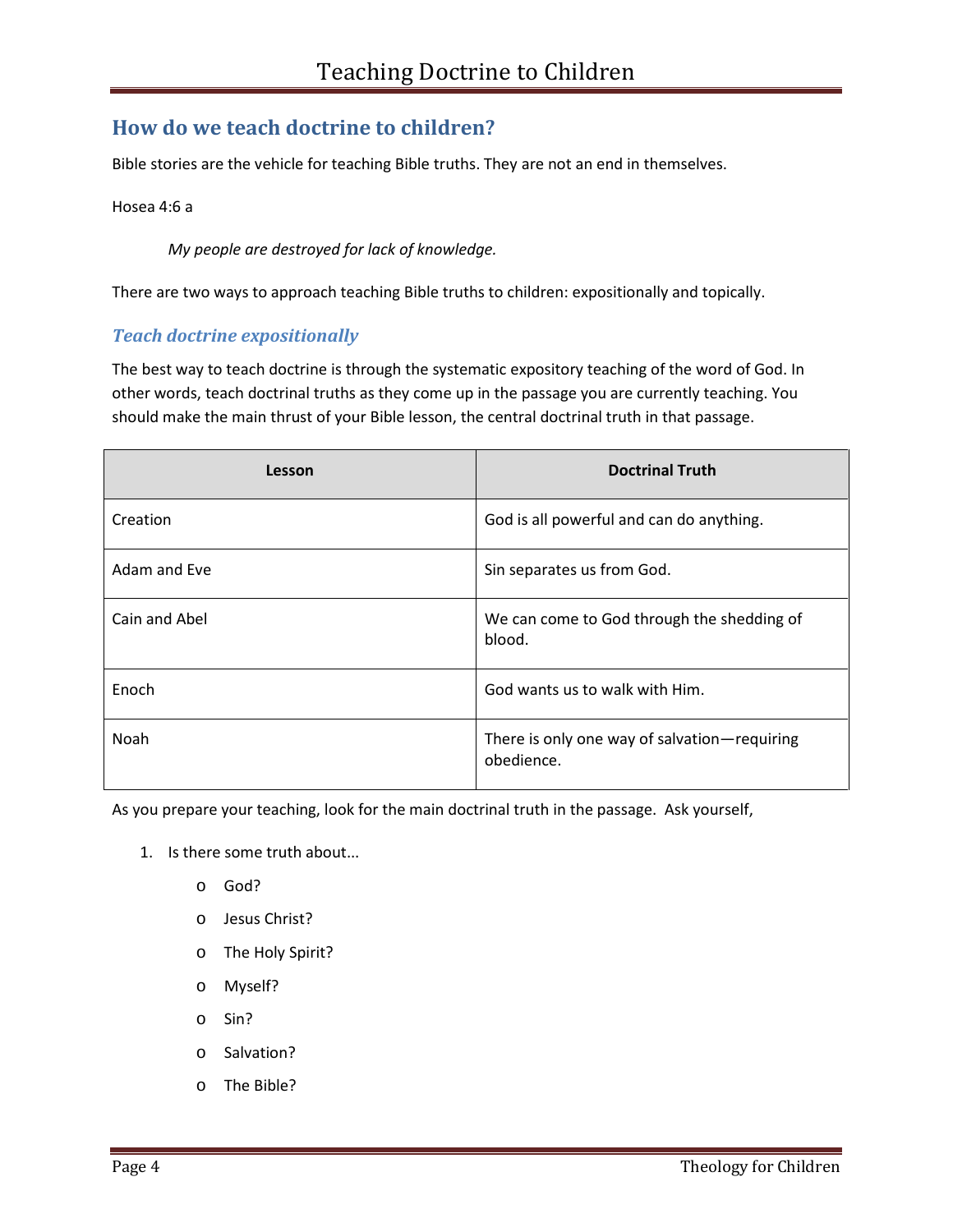# **How do we teach doctrine to children?**

Bible stories are the vehicle for teaching Bible truths. They are not an end in themselves.

Hosea 4:6 a

*My people are destroyed for lack of knowledge.* 

There are two ways to approach teaching Bible truths to children: expositionally and topically.

#### *Teach doctrine expositionally*

The best way to teach doctrine is through the systematic expository teaching of the word of God. In other words, teach doctrinal truths as they come up in the passage you are currently teaching. You should make the main thrust of your Bible lesson, the central doctrinal truth in that passage.

| Lesson        | <b>Doctrinal Truth</b>                                     |
|---------------|------------------------------------------------------------|
| Creation      | God is all powerful and can do anything.                   |
| Adam and Eve  | Sin separates us from God.                                 |
| Cain and Abel | We can come to God through the shedding of<br>blood.       |
| Enoch         | God wants us to walk with Him.                             |
| Noah          | There is only one way of salvation-requiring<br>obedience. |

As you prepare your teaching, look for the main doctrinal truth in the passage. Ask yourself,

- 1. Is there some truth about...
	- o God?
	- o Jesus Christ?
	- o The Holy Spirit?
	- o Myself?
	- o Sin?
	- o Salvation?
	- o The Bible?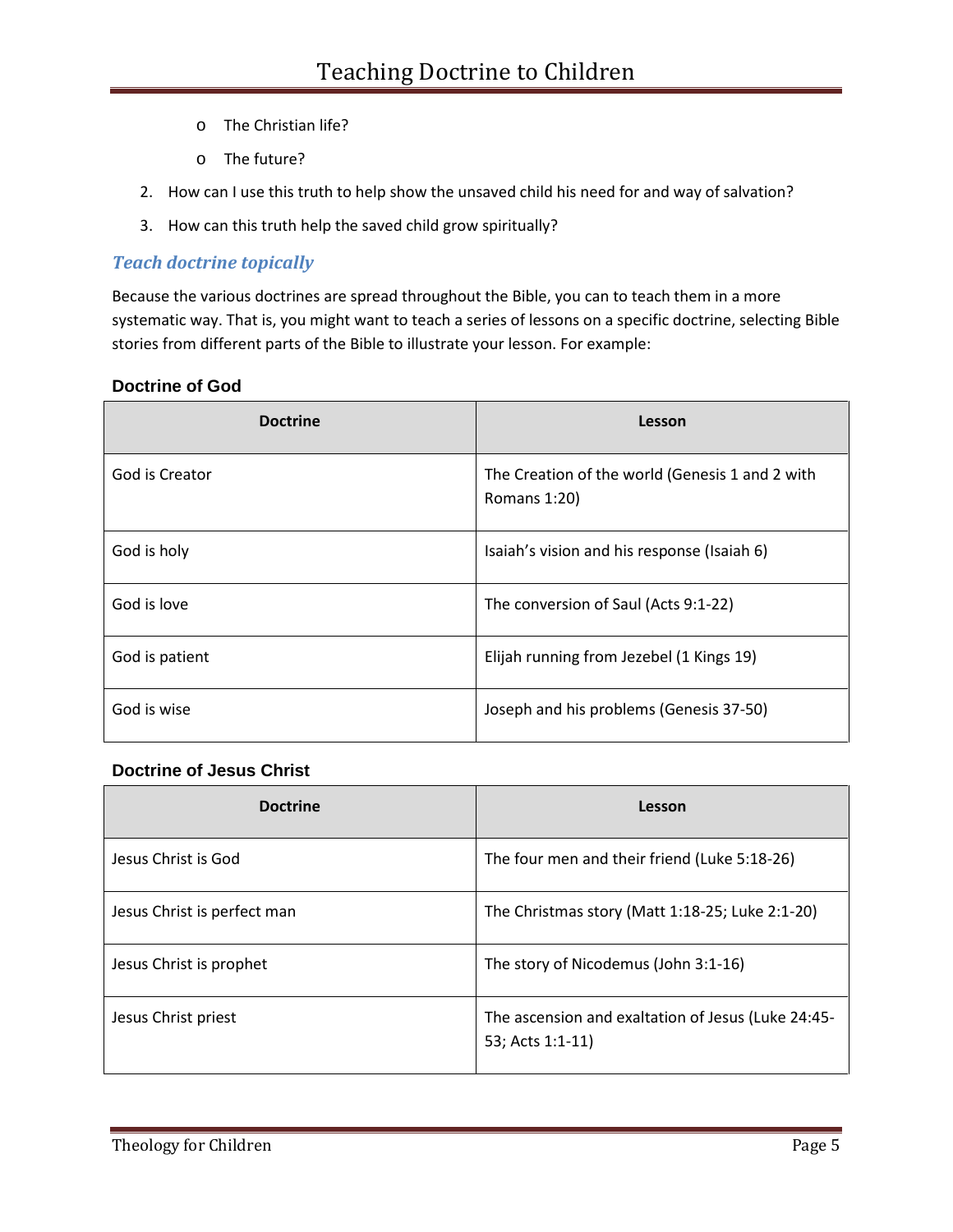- o The Christian life?
- o The future?
- 2. How can I use this truth to help show the unsaved child his need for and way of salvation?
- 3. How can this truth help the saved child grow spiritually?

# *Teach doctrine topically*

Because the various doctrines are spread throughout the Bible, you can to teach them in a more systematic way. That is, you might want to teach a series of lessons on a specific doctrine, selecting Bible stories from different parts of the Bible to illustrate your lesson. For example:

#### **Doctrine of God**

| <b>Doctrine</b> | Lesson                                                          |
|-----------------|-----------------------------------------------------------------|
| God is Creator  | The Creation of the world (Genesis 1 and 2 with<br>Romans 1:20) |
| God is holy     | Isaiah's vision and his response (Isaiah 6)                     |
| God is love     | The conversion of Saul (Acts 9:1-22)                            |
| God is patient  | Elijah running from Jezebel (1 Kings 19)                        |
| God is wise     | Joseph and his problems (Genesis 37-50)                         |

#### **Doctrine of Jesus Christ**

| <b>Doctrine</b>             | Lesson                                                                 |
|-----------------------------|------------------------------------------------------------------------|
| Jesus Christ is God         | The four men and their friend (Luke 5:18-26)                           |
| Jesus Christ is perfect man | The Christmas story (Matt 1:18-25; Luke 2:1-20)                        |
| Jesus Christ is prophet     | The story of Nicodemus (John 3:1-16)                                   |
| Jesus Christ priest         | The ascension and exaltation of Jesus (Luke 24:45-<br>53; Acts 1:1-11) |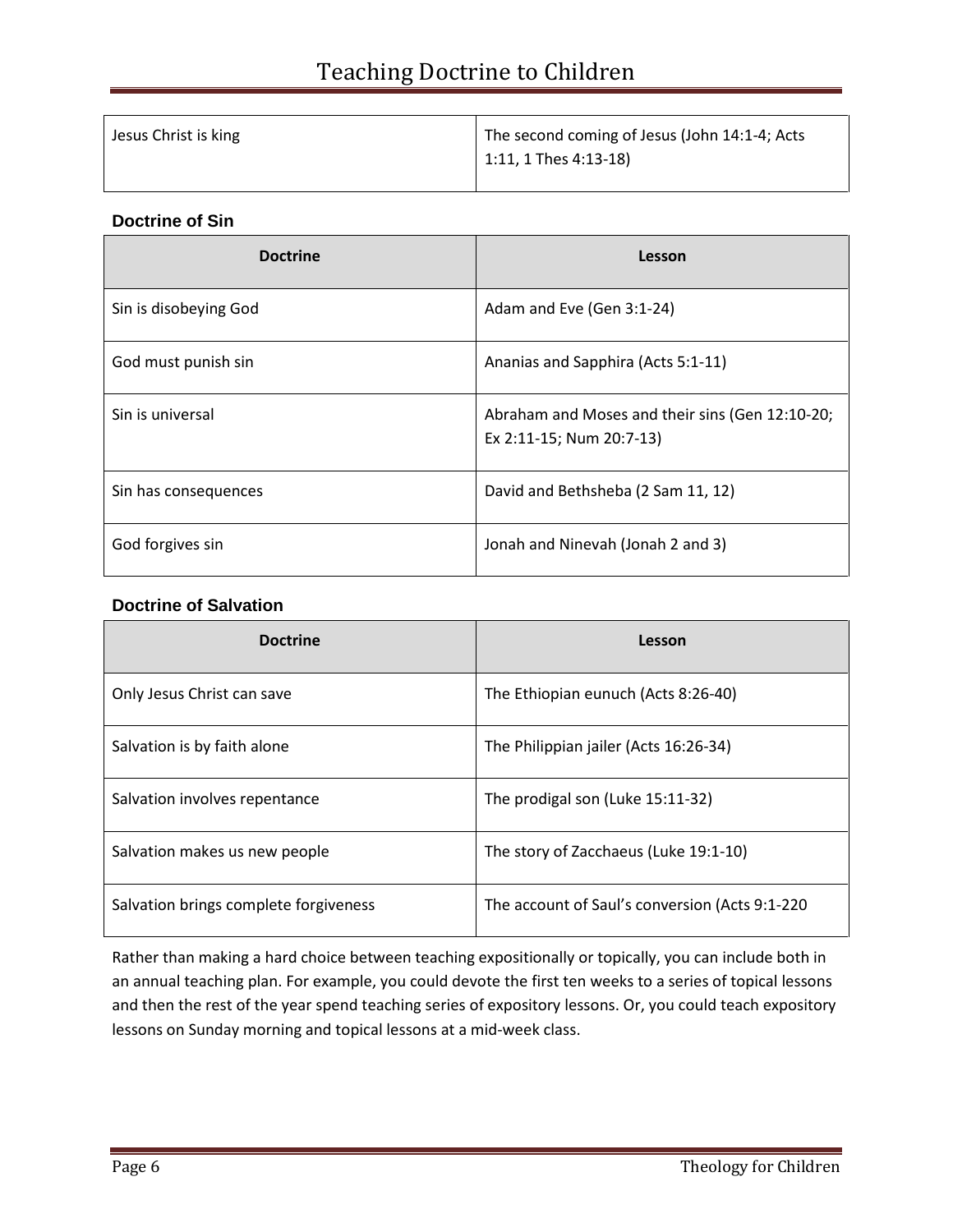| Jesus Christ is king | The second coming of Jesus (John 14:1-4; Acts |
|----------------------|-----------------------------------------------|
|                      | 1:11, 1 Thes 4:13-18)                         |

#### **Doctrine of Sin**

| <b>Doctrine</b>       | Lesson                                                                      |
|-----------------------|-----------------------------------------------------------------------------|
| Sin is disobeying God | Adam and Eve (Gen 3:1-24)                                                   |
| God must punish sin   | Ananias and Sapphira (Acts 5:1-11)                                          |
| Sin is universal      | Abraham and Moses and their sins (Gen 12:10-20;<br>Ex 2:11-15; Num 20:7-13) |
| Sin has consequences  | David and Bethsheba (2 Sam 11, 12)                                          |
| God forgives sin      | Jonah and Ninevah (Jonah 2 and 3)                                           |

#### **Doctrine of Salvation**

| <b>Doctrine</b>                       | Lesson                                         |
|---------------------------------------|------------------------------------------------|
| Only Jesus Christ can save            | The Ethiopian eunuch (Acts 8:26-40)            |
| Salvation is by faith alone           | The Philippian jailer (Acts 16:26-34)          |
| Salvation involves repentance         | The prodigal son (Luke 15:11-32)               |
| Salvation makes us new people         | The story of Zacchaeus (Luke 19:1-10)          |
| Salvation brings complete forgiveness | The account of Saul's conversion (Acts 9:1-220 |

Rather than making a hard choice between teaching expositionally or topically, you can include both in an annual teaching plan. For example, you could devote the first ten weeks to a series of topical lessons and then the rest of the year spend teaching series of expository lessons. Or, you could teach expository lessons on Sunday morning and topical lessons at a mid-week class.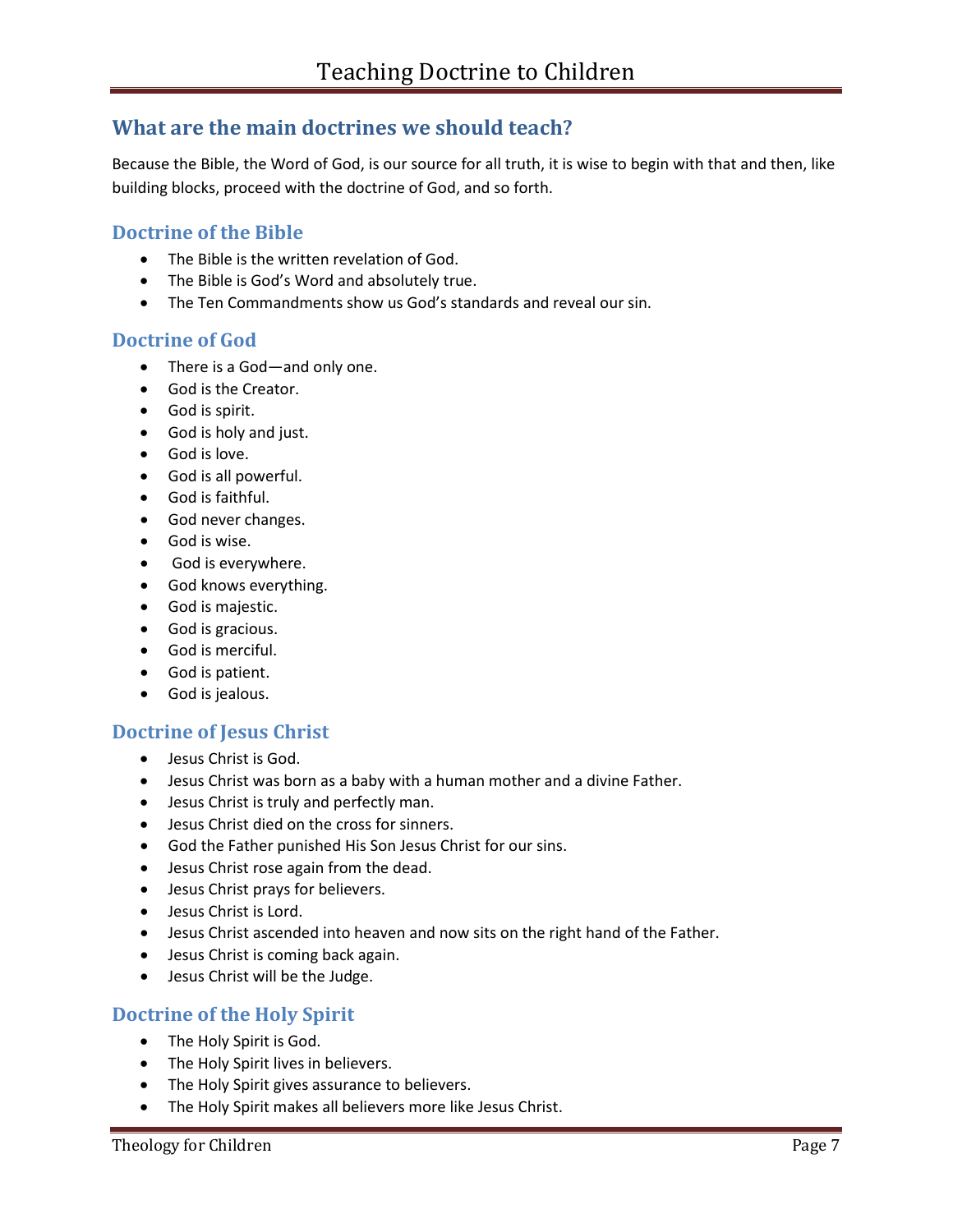# **What are the main doctrines we should teach?**

Because the Bible, the Word of God, is our source for all truth, it is wise to begin with that and then, like building blocks, proceed with the doctrine of God, and so forth.

# **Doctrine of the Bible**

- The Bible is the written revelation of God.
- The Bible is God's Word and absolutely true.
- The Ten Commandments show us God's standards and reveal our sin.

#### **Doctrine of God**

- There is a God—and only one.
- God is the Creator.
- God is spirit.
- God is holy and just.
- God is love.
- God is all powerful.
- God is faithful.
- God never changes.
- God is wise.
- God is everywhere.
- God knows everything.
- God is majestic.
- God is gracious.
- God is merciful.
- God is patient.
- God is jealous.

# **Doctrine of Jesus Christ**

- Jesus Christ is God.
- Jesus Christ was born as a baby with a human mother and a divine Father.
- Jesus Christ is truly and perfectly man.
- Jesus Christ died on the cross for sinners.
- God the Father punished His Son Jesus Christ for our sins.
- Jesus Christ rose again from the dead.
- Jesus Christ prays for believers.
- Jesus Christ is Lord.
- Jesus Christ ascended into heaven and now sits on the right hand of the Father.
- Jesus Christ is coming back again.
- Jesus Christ will be the Judge.

# **Doctrine of the Holy Spirit**

- The Holy Spirit is God.
- The Holy Spirit lives in believers.
- The Holy Spirit gives assurance to believers.
- The Holy Spirit makes all believers more like Jesus Christ.